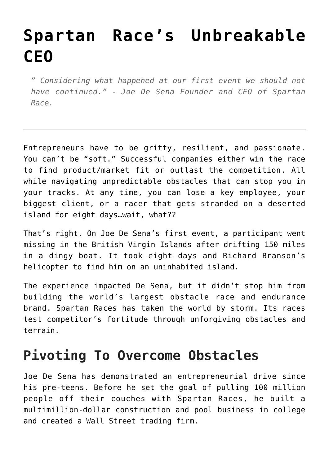## **[Spartan Race's Unbreakable](https://foodfightstudios.com/spartan-race-unbreakable-ceo/) [CEO](https://foodfightstudios.com/spartan-race-unbreakable-ceo/)**

*" Considering what happened at our first event we should not have continued." - Joe De Sena Founder and CEO of Spartan Race.*

Entrepreneurs have to be gritty, resilient, and passionate. You can't be "soft." Successful companies either win the race to find product/market fit or outlast the competition. All while navigating unpredictable obstacles that can stop you in your tracks. At any time, you can lose a key employee, your biggest client, or a racer that gets stranded on a deserted island for eight days…wait, what??

That's right. On Joe De Sena's first event, a participant went missing in the British Virgin Islands after drifting 150 miles in a dingy boat. It took eight days and Richard Branson's helicopter to find him on an uninhabited island.

The experience impacted De Sena, but it didn't stop him from building the world's largest obstacle race and endurance brand. Spartan Races has taken the world by storm. Its races test competitor's fortitude through unforgiving obstacles and terrain.

## **Pivoting To Overcome Obstacles**

Joe De Sena has demonstrated an entrepreneurial drive since his pre-teens. Before he set the goal of pulling 100 million people off their couches with Spartan Races, he built a multimillion-dollar construction and pool business in college and created a Wall Street trading firm.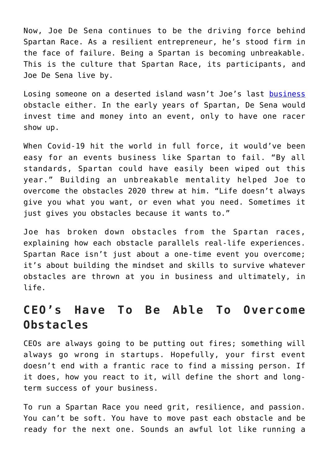Now, Joe De Sena continues to be the driving force behind Spartan Race. As a resilient entrepreneur, he's stood firm in the face of failure. Being a Spartan is becoming unbreakable. This is the culture that Spartan Race, its participants, and Joe De Sena live by.

Losing someone on a deserted island wasn't Joe's last [business](https://foodfightstudios.com/from-crisis-to-creative-everything-we-learned-in-unpredictable-times/) obstacle either. In the early years of Spartan, De Sena would invest time and money into an event, only to have one racer show up.

When Covid-19 hit the world in full force, it would've been easy for an events business like Spartan to fail. "By all standards, Spartan could have easily been wiped out this year." Building an unbreakable mentality helped Joe to overcome the obstacles 2020 threw at him. "Life doesn't always give you what you want, or even what you need. Sometimes it just gives you obstacles because it wants to."

Joe has broken down obstacles from the Spartan races, explaining how each obstacle parallels real-life experiences. Spartan Race isn't just about a one-time event you overcome; it's about building the mindset and skills to survive whatever obstacles are thrown at you in business and ultimately, in life.

## **CEO's Have To Be Able To Overcome Obstacles**

CEOs are always going to be putting out fires; something will always go wrong in startups. Hopefully, your first event doesn't end with a frantic race to find a missing person. If it does, how you react to it, will define the short and longterm success of your business.

To run a Spartan Race you need grit, resilience, and passion. You can't be soft. You have to move past each obstacle and be ready for the next one. Sounds an awful lot like running a